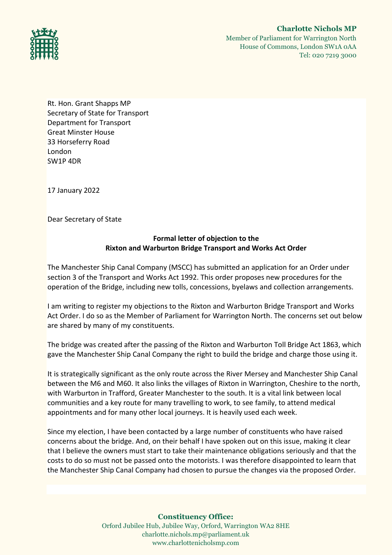

Rt. Hon. Grant Shapps MP Secretary of State for Transport Department for Transport Great Minster House 33 Horseferry Road London SW1P 4DR

17 January 2022

Dear Secretary of State

# **Formal letter of objection to the Rixton and Warburton Bridge Transport and Works Act Order**

The Manchester Ship Canal Company (MSCC) has submitted an application for an Order under section 3 of the Transport and Works Act 1992. This order proposes new procedures for the operation of the Bridge, including new tolls, concessions, byelaws and collection arrangements.

I am writing to register my objections to the Rixton and Warburton Bridge Transport and Works Act Order. I do so as the Member of Parliament for Warrington North. The concerns set out below are shared by many of my constituents.

The bridge was created after the passing of the Rixton and Warburton Toll Bridge Act 1863, which gave the Manchester Ship Canal Company the right to build the bridge and charge those using it.

It is strategically significant as the only route across the River Mersey and Manchester Ship Canal between the M6 and M60. It also links the villages of Rixton in Warrington, Cheshire to the north, with Warburton in Trafford, Greater Manchester to the south. It is a vital link between local communities and a key route for many travelling to work, to see family, to attend medical appointments and for many other local journeys. It is heavily used each week.

Since my election, I have been contacted by a large number of constituents who have raised concerns about the bridge. And, on their behalf I have spoken out on this issue, making it clear that I believe the owners must start to take their maintenance obligations seriously and that the costs to do so must not be passed onto the motorists. I was therefore disappointed to learn that the Manchester Ship Canal Company had chosen to pursue the changes via the proposed Order.

**Constituency Office:**

Orford Jubilee Hub, Jubilee Way, Orford, Warrington WA2 8HE charlotte.nichols.mp@parliament.uk www.charlottenicholsmp.com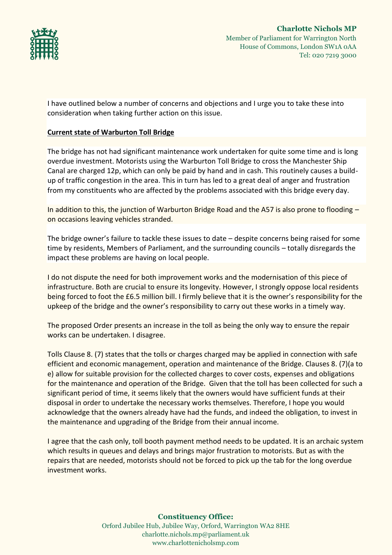

I have outlined below a number of concerns and objections and I urge you to take these into consideration when taking further action on this issue.

## **Current state of Warburton Toll Bridge**

The bridge has not had significant maintenance work undertaken for quite some time and is long overdue investment. Motorists using the Warburton Toll Bridge to cross the Manchester Ship Canal are charged 12p, which can only be paid by hand and in cash. This routinely causes a buildup of traffic congestion in the area. This in turn has led to a great deal of anger and frustration from my constituents who are affected by the problems associated with this bridge every day.

In addition to this, the junction of Warburton Bridge Road and the A57 is also prone to flooding – on occasions leaving vehicles stranded.

The bridge owner's failure to tackle these issues to date – despite concerns being raised for some time by residents, Members of Parliament, and the surrounding councils – totally disregards the impact these problems are having on local people.

I do not dispute the need for both improvement works and the modernisation of this piece of infrastructure. Both are crucial to ensure its longevity. However, I strongly oppose local residents being forced to foot the £6.5 million bill. I firmly believe that it is the owner's responsibility for the upkeep of the bridge and the owner's responsibility to carry out these works in a timely way.

The proposed Order presents an increase in the toll as being the only way to ensure the repair works can be undertaken. I disagree.

Tolls Clause 8. (7) states that the tolls or charges charged may be applied in connection with safe efficient and economic management, operation and maintenance of the Bridge. Clauses 8. (7)(a to e) allow for suitable provision for the collected charges to cover costs, expenses and obligations for the maintenance and operation of the Bridge. Given that the toll has been collected for such a significant period of time, it seems likely that the owners would have sufficient funds at their disposal in order to undertake the necessary works themselves. Therefore, I hope you would acknowledge that the owners already have had the funds, and indeed the obligation, to invest in the maintenance and upgrading of the Bridge from their annual income.

I agree that the cash only, toll booth payment method needs to be updated. It is an archaic system which results in queues and delays and brings major frustration to motorists. But as with the repairs that are needed, motorists should not be forced to pick up the tab for the long overdue investment works.

> **Constituency Office:** Orford Jubilee Hub, Jubilee Way, Orford, Warrington WA2 8HE charlotte.nichols.mp@parliament.uk www.charlottenicholsmp.com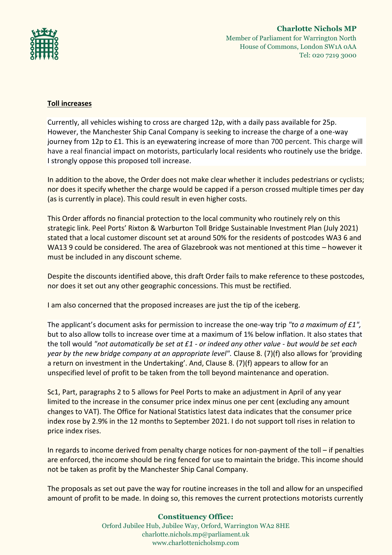

## **Toll increases**

Currently, all vehicles wishing to cross are charged 12p, with a daily pass available for 25p. However, the Manchester Ship Canal Company is seeking to increase the charge of a one-way journey from 12p to £1. This is an eyewatering increase of more than 700 percent. This charge will have a real financial impact on motorists, particularly local residents who routinely use the bridge. I strongly oppose this proposed toll increase.

In addition to the above, the Order does not make clear whether it includes pedestrians or cyclists; nor does it specify whether the charge would be capped if a person crossed multiple times per day (as is currently in place). This could result in even higher costs.

This Order affords no financial protection to the local community who routinely rely on this strategic link. Peel Ports' Rixton & Warburton Toll Bridge Sustainable Investment Plan (July 2021) stated that a local customer discount set at around 50% for the residents of postcodes WA3 6 and WA13 9 could be considered. The area of Glazebrook was not mentioned at this time – however it must be included in any discount scheme.

Despite the discounts identified above, this draft Order fails to make reference to these postcodes, nor does it set out any other geographic concessions. This must be rectified.

I am also concerned that the proposed increases are just the tip of the iceberg.

The applicant's document asks for permission to increase the one-way trip *"to a maximum of £1",*  but to also allow tolls to increase over time at a maximum of 1% below inflation. It also states that the toll would *"not automatically be set at £1 - or indeed any other value - but would be set each year by the new bridge company at an appropriate level".* Clause 8. (7)(f) also allows for 'providing a return on investment in the Undertaking'. And, Clause 8. (7)(f) appears to allow for an unspecified level of profit to be taken from the toll beyond maintenance and operation.

Sc1, Part, paragraphs 2 to 5 allows for Peel Ports to make an adjustment in April of any year limited to the increase in the consumer price index minus one per cent (excluding any amount changes to VAT). The Office for National Statistics latest data indicates that the consumer price index rose by 2.9% in the 12 months to September 2021. I do not support toll rises in relation to price index rises.

In regards to income derived from penalty charge notices for non-payment of the toll – if penalties are enforced, the income should be ring fenced for use to maintain the bridge. This income should not be taken as profit by the Manchester Ship Canal Company.

The proposals as set out pave the way for routine increases in the toll and allow for an unspecified amount of profit to be made. In doing so, this removes the current protections motorists currently

#### **Constituency Office:**

Orford Jubilee Hub, Jubilee Way, Orford, Warrington WA2 8HE charlotte.nichols.mp@parliament.uk www.charlottenicholsmp.com